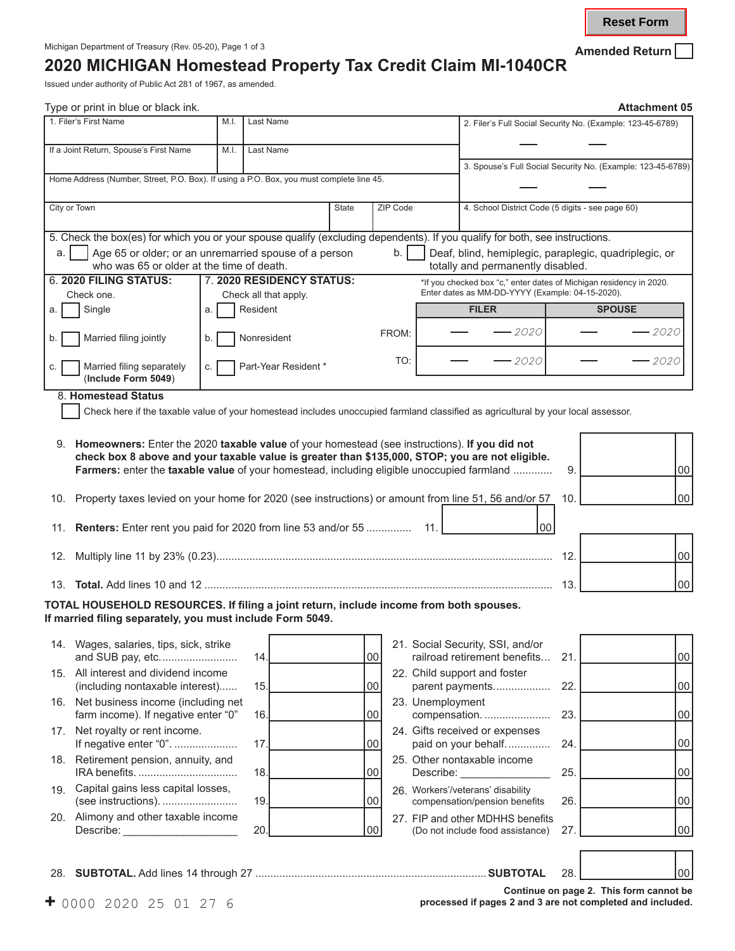**Reset Form**

## **2020 MICHIGAN Homestead Property Tax Credit Claim MI-1040CR**

Issued under authority of Public Act 281 of 1967, as amended.

|      | Type or print in blue or black ink.                                                                                                                                                                                                                                                               |      |                       |                           |       |          |                  |                                                                                            |     | <b>Attachment 05</b> |                 |  |  |
|------|---------------------------------------------------------------------------------------------------------------------------------------------------------------------------------------------------------------------------------------------------------------------------------------------------|------|-----------------------|---------------------------|-------|----------|------------------|--------------------------------------------------------------------------------------------|-----|----------------------|-----------------|--|--|
|      | 1. Filer's First Name                                                                                                                                                                                                                                                                             | M.I. | Last Name             |                           |       |          |                  | 2. Filer's Full Social Security No. (Example: 123-45-6789)                                 |     |                      |                 |  |  |
|      | If a Joint Return, Spouse's First Name                                                                                                                                                                                                                                                            | M.I. | Last Name             |                           |       |          |                  |                                                                                            |     |                      |                 |  |  |
|      |                                                                                                                                                                                                                                                                                                   |      |                       |                           |       |          |                  | 3. Spouse's Full Social Security No. (Example: 123-45-6789)                                |     |                      |                 |  |  |
|      | Home Address (Number, Street, P.O. Box). If using a P.O. Box, you must complete line 45.                                                                                                                                                                                                          |      |                       |                           |       |          |                  |                                                                                            |     |                      |                 |  |  |
|      | City or Town                                                                                                                                                                                                                                                                                      |      |                       |                           | State | ZIP Code |                  | 4. School District Code (5 digits - see page 60)                                           |     |                      |                 |  |  |
|      | 5. Check the box(es) for which you or your spouse qualify (excluding dependents). If you qualify for both, see instructions.                                                                                                                                                                      |      |                       |                           |       |          |                  |                                                                                            |     |                      |                 |  |  |
| a. I | Age 65 or older; or an unremarried spouse of a person<br>who was 65 or older at the time of death.                                                                                                                                                                                                |      |                       |                           |       | b.       |                  | Deaf, blind, hemiplegic, paraplegic, quadriplegic, or<br>totally and permanently disabled. |     |                      |                 |  |  |
|      | 6. 2020 FILING STATUS:                                                                                                                                                                                                                                                                            |      |                       | 7. 2020 RESIDENCY STATUS: |       |          |                  | *If you checked box "c," enter dates of Michigan residency in 2020.                        |     |                      |                 |  |  |
|      | Check one.                                                                                                                                                                                                                                                                                        |      | Check all that apply. |                           |       |          |                  | Enter dates as MM-DD-YYYY (Example: 04-15-2020).                                           |     |                      |                 |  |  |
| a.   | Single                                                                                                                                                                                                                                                                                            | a.   | Resident              |                           |       |          |                  | <b>FILER</b>                                                                               |     | <b>SPOUSE</b>        |                 |  |  |
| b.   | Married filing jointly                                                                                                                                                                                                                                                                            | b.   | Nonresident           |                           |       | FROM:    |                  | – 2020                                                                                     |     |                      | - 2020          |  |  |
|      | Married filing separately<br>(Include Form 5049)                                                                                                                                                                                                                                                  | C.   |                       | Part-Year Resident *      |       | TO:      |                  | - 2020                                                                                     |     |                      | 2020            |  |  |
|      | 8. Homestead Status                                                                                                                                                                                                                                                                               |      |                       |                           |       |          |                  |                                                                                            |     |                      |                 |  |  |
|      | Check here if the taxable value of your homestead includes unoccupied farmland classified as agricultural by your local assessor.                                                                                                                                                                 |      |                       |                           |       |          |                  |                                                                                            |     |                      |                 |  |  |
|      |                                                                                                                                                                                                                                                                                                   |      |                       |                           |       |          |                  |                                                                                            |     |                      |                 |  |  |
|      | 9. Homeowners: Enter the 2020 taxable value of your homestead (see instructions). If you did not<br>check box 8 above and your taxable value is greater than \$135,000, STOP; you are not eligible.<br>Farmers: enter the taxable value of your homestead, including eligible unoccupied farmland |      |                       |                           |       |          |                  |                                                                                            | 9.  |                      | 00              |  |  |
|      |                                                                                                                                                                                                                                                                                                   |      |                       |                           |       |          |                  |                                                                                            |     |                      |                 |  |  |
| 10.  | Property taxes levied on your home for 2020 (see instructions) or amount from line 51, 56 and/or 57                                                                                                                                                                                               |      |                       |                           |       |          |                  |                                                                                            | 10. |                      | $00\,$          |  |  |
|      | 11. Renters: Enter rent you paid for 2020 from line 53 and/or 55                                                                                                                                                                                                                                  |      |                       |                           |       |          | - 11.            | 00                                                                                         |     |                      |                 |  |  |
| 12.  |                                                                                                                                                                                                                                                                                                   |      |                       |                           |       |          |                  |                                                                                            | 12. |                      | $00\,$          |  |  |
|      |                                                                                                                                                                                                                                                                                                   |      |                       |                           |       |          |                  |                                                                                            | 13. |                      | $00\,$          |  |  |
|      | TOTAL HOUSEHOLD RESOURCES. If filing a joint return, include income from both spouses.<br>If married filing separately, you must include Form 5049.                                                                                                                                               |      |                       |                           |       |          |                  |                                                                                            |     |                      |                 |  |  |
|      |                                                                                                                                                                                                                                                                                                   |      |                       |                           |       |          |                  |                                                                                            |     |                      |                 |  |  |
|      | 14. Wages, salaries, tips, sick, strike<br>and SUB pay, etc                                                                                                                                                                                                                                       |      | 14                    |                           |       | 00       |                  | 21. Social Security, SSI, and/or<br>railroad retirement benefits                           | 21. |                      | 00              |  |  |
| 15.  | All interest and dividend income                                                                                                                                                                                                                                                                  |      |                       |                           |       |          |                  | 22. Child support and foster                                                               |     |                      |                 |  |  |
|      | (including nontaxable interest)<br>16. Net business income (including net                                                                                                                                                                                                                         |      | 15.                   |                           |       | 00       | 23. Unemployment | parent payments                                                                            | 22. |                      | 00              |  |  |
|      | farm income). If negative enter "0"<br>17. Net royalty or rent income.                                                                                                                                                                                                                            |      | 16.                   |                           |       | 00       |                  | compensation.<br>24. Gifts received or expenses                                            | 23. |                      | 00              |  |  |
|      | If negative enter "0".                                                                                                                                                                                                                                                                            |      | 17                    |                           |       | 00       |                  | paid on your behalf                                                                        | 24. |                      | 00              |  |  |
|      | 18. Retirement pension, annuity, and                                                                                                                                                                                                                                                              |      | 18.                   |                           |       | 00       | Describe:        | 25. Other nontaxable income                                                                | 25. |                      | 00              |  |  |
| 19.  | Capital gains less capital losses,<br>(see instructions).                                                                                                                                                                                                                                         |      | 19.                   |                           |       | 00       |                  | 26. Workers'/veterans' disability<br>compensation/pension benefits                         | 26. |                      | 00              |  |  |
|      | 20. Alimony and other taxable income                                                                                                                                                                                                                                                              |      |                       |                           |       |          |                  | 27. FIP and other MDHHS benefits                                                           |     |                      |                 |  |  |
|      | Describe: <u>_____________</u>                                                                                                                                                                                                                                                                    |      | 20                    |                           |       | 00       |                  | (Do not include food assistance)                                                           | 27. |                      | $00\,$          |  |  |
|      |                                                                                                                                                                                                                                                                                                   |      |                       |                           |       |          |                  |                                                                                            |     |                      |                 |  |  |
|      |                                                                                                                                                                                                                                                                                                   |      |                       |                           |       |          |                  |                                                                                            | 28. |                      | 00 <sup>°</sup> |  |  |

**Continue on page 2. This form cannot be +** 0000 2020 25 01 27 6 **processed if pages 2 and 3 are not completed and included.**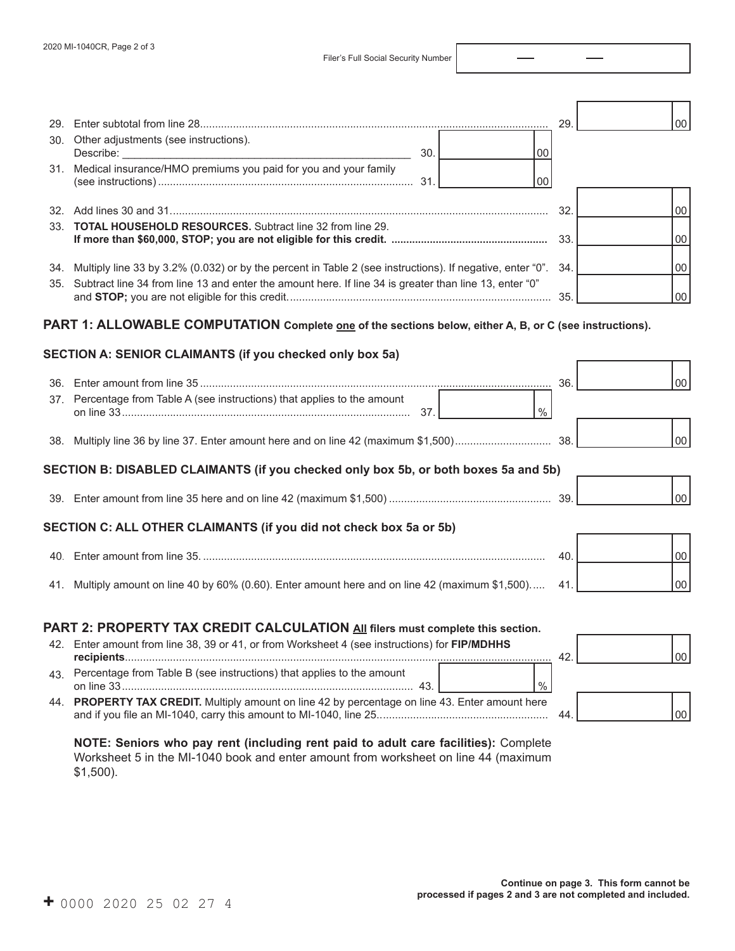Filer's Full Social Security Number

| 30. Other adjustments (see instructions).<br>30.<br>00                                                            | 29. | 00     |    |
|-------------------------------------------------------------------------------------------------------------------|-----|--------|----|
| 31. Medical insurance/HMO premiums you paid for you and your family<br>00                                         |     |        |    |
|                                                                                                                   | 32. |        | 00 |
| 33. <b>TOTAL HOUSEHOLD RESOURCES.</b> Subtract line 32 from line 29.                                              |     | 00     |    |
| 34. Multiply line 33 by 3.2% (0.032) or by the percent in Table 2 (see instructions). If negative, enter "0". 34. |     | 00     |    |
| 35. Subtract line 34 from line 13 and enter the amount here. If line 34 is greater than line 13, enter "0"        |     | 00     |    |
| PART 1: ALLOWABLE COMPUTATION Complete <u>one</u> of the sections below, either A, B, or C (see instructions).    |     |        |    |
| SECTION A: SENIOR CLAIMANTS (if you checked only box 5a)                                                          |     |        |    |
|                                                                                                                   | 36. | $00\,$ |    |
| 37. Percentage from Table A (see instructions) that applies to the amount<br>$\%$                                 |     |        |    |
|                                                                                                                   |     | 00     |    |
| SECTION B: DISABLED CLAIMANTS (if you checked only box 5b, or both boxes 5a and 5b)                               |     |        |    |
|                                                                                                                   |     | 00     |    |
| SECTION C: ALL OTHER CLAIMANTS (if you did not check box 5a or 5b)                                                |     |        |    |
|                                                                                                                   | 40. | 00     |    |
| 41. Multiply amount on line 40 by 60% (0.60). Enter amount here and on line 42 (maximum \$1,500)                  | 41. | loo    |    |
| PART 2: PROPERTY TAX CREDIT CALCULATION All filers must complete this section.                                    |     |        |    |
| 42. Enter amount from line 38, 39 or 41, or from Worksheet 4 (see instructions) for FIP/MDHHS                     | 42. | 00     |    |
| 43. Percentage from Table B (see instructions) that applies to the amount<br>$\%$                                 |     |        |    |

and if you file an MI-1040, carry this amount to MI-1040, line 25......................................................... 44. **NOTE: Seniors who pay rent (including rent paid to adult care facilities):** Complete

44. **PROPERTY TAX CREDIT.** Multiply amount on line 42 by percentage on line 43. Enter amount here

Worksheet 5 in the MI-1040 book and enter amount from worksheet on line 44 (maximum \$1,500).

00